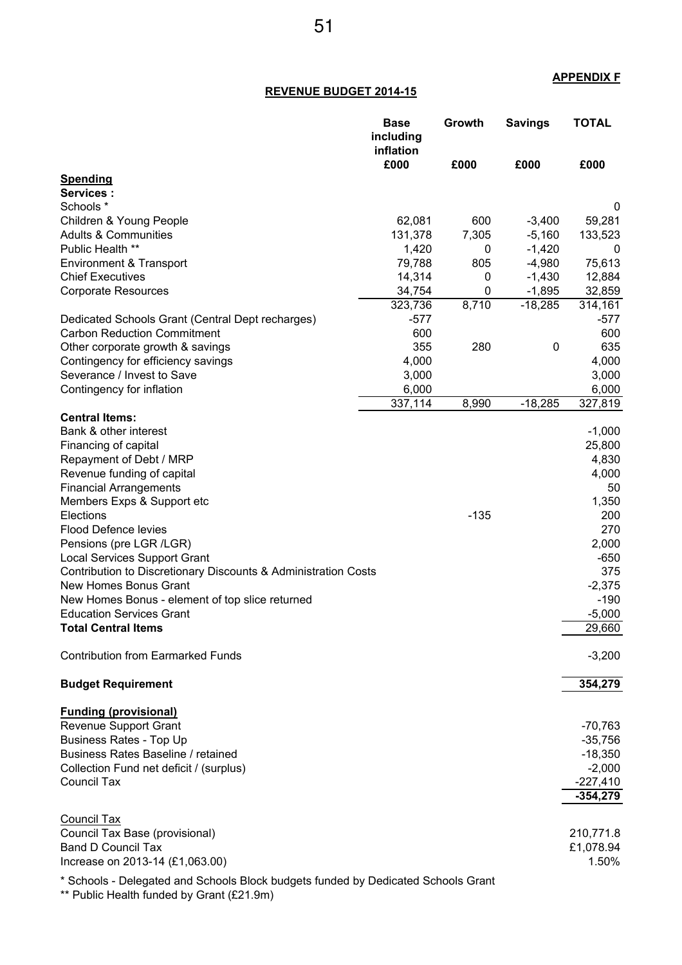## **APPENDIX F**

## **REVENUE BUDGET 2014-15**

|                                                                                   | <b>Base</b><br>including<br>inflation | Growth | <b>Savings</b> | <b>TOTAL</b>           |
|-----------------------------------------------------------------------------------|---------------------------------------|--------|----------------|------------------------|
|                                                                                   | £000                                  | £000   | £000           | £000                   |
| <b>Spending</b>                                                                   |                                       |        |                |                        |
| <b>Services:</b><br>Schools *                                                     |                                       |        |                | 0                      |
| Children & Young People                                                           | 62,081                                | 600    | $-3,400$       | 59,281                 |
| <b>Adults &amp; Communities</b>                                                   | 131,378                               | 7,305  | $-5,160$       | 133,523                |
| Public Health **                                                                  | 1,420                                 | 0      | $-1,420$       | 0                      |
| Environment & Transport                                                           | 79,788                                | 805    | $-4,980$       | 75,613                 |
| <b>Chief Executives</b>                                                           | 14,314                                | 0      | $-1,430$       | 12,884                 |
| <b>Corporate Resources</b>                                                        | 34,754                                | 0      | $-1,895$       | 32,859                 |
|                                                                                   | 323,736                               | 8,710  | $-18,285$      | 314,161                |
| Dedicated Schools Grant (Central Dept recharges)                                  | $-577$                                |        |                | $-577$                 |
| <b>Carbon Reduction Commitment</b>                                                | 600                                   |        |                | 600                    |
| Other corporate growth & savings                                                  | 355                                   | 280    | 0              | 635                    |
| Contingency for efficiency savings                                                | 4,000                                 |        |                | 4,000                  |
| Severance / Invest to Save                                                        | 3,000                                 |        |                | 3,000                  |
| Contingency for inflation                                                         | 6,000                                 |        |                | 6,000                  |
|                                                                                   | 337,114                               | 8,990  | $-18,285$      | 327,819                |
| <b>Central Items:</b><br>Bank & other interest                                    |                                       |        |                | $-1,000$               |
| Financing of capital                                                              |                                       |        |                | 25,800                 |
| Repayment of Debt / MRP                                                           |                                       |        |                | 4,830                  |
| Revenue funding of capital                                                        |                                       |        |                | 4,000                  |
| <b>Financial Arrangements</b>                                                     |                                       |        |                | 50                     |
| Members Exps & Support etc                                                        |                                       |        |                | 1,350                  |
| Elections                                                                         |                                       | $-135$ |                | 200                    |
| <b>Flood Defence levies</b>                                                       |                                       |        |                | 270                    |
| Pensions (pre LGR /LGR)                                                           |                                       |        |                | 2,000                  |
| <b>Local Services Support Grant</b>                                               |                                       |        |                | $-650$                 |
| Contribution to Discretionary Discounts & Administration Costs                    |                                       |        |                | 375                    |
| New Homes Bonus Grant                                                             |                                       |        |                | $-2,375$               |
| New Homes Bonus - element of top slice returned                                   |                                       |        |                | $-190$                 |
| <b>Education Services Grant</b>                                                   |                                       |        |                | $-5,000$               |
| <b>Total Central Items</b>                                                        |                                       |        |                | 29,660                 |
| <b>Contribution from Earmarked Funds</b>                                          |                                       |        |                | $-3,200$               |
| <b>Budget Requirement</b>                                                         |                                       |        |                | 354,279                |
| <b>Funding (provisional)</b>                                                      |                                       |        |                |                        |
| <b>Revenue Support Grant</b>                                                      |                                       |        |                | $-70,763$              |
| <b>Business Rates - Top Up</b>                                                    |                                       |        |                | $-35,756$              |
| Business Rates Baseline / retained                                                |                                       |        |                | $-18,350$              |
| Collection Fund net deficit / (surplus)                                           |                                       |        |                | $-2,000$               |
| <b>Council Tax</b>                                                                |                                       |        |                | $-227,410$             |
|                                                                                   |                                       |        |                | $-354,279$             |
|                                                                                   |                                       |        |                |                        |
| Council Tax                                                                       |                                       |        |                |                        |
| Council Tax Base (provisional)<br><b>Band D Council Tax</b>                       |                                       |        |                | 210,771.8<br>£1,078.94 |
| Increase on 2013-14 (£1,063.00)                                                   |                                       |        |                | 1.50%                  |
|                                                                                   |                                       |        |                |                        |
| * Schools - Delegated and Schools Block budgets funded by Dedicated Schools Grant |                                       |        |                |                        |

\*\* Public Health funded by Grant (£21.9m)